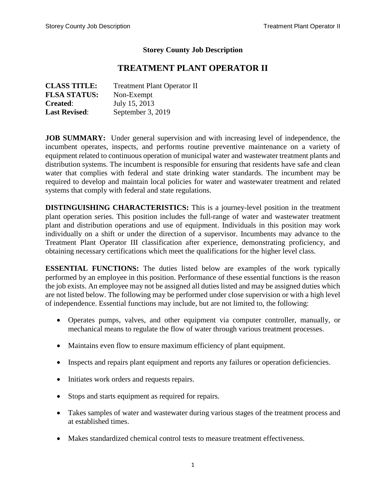#### **Storey County Job Description**

# **TREATMENT PLANT OPERATOR II**

| <b>CLASS TITLE:</b>  | <b>Treatment Plant Operator II</b> |
|----------------------|------------------------------------|
| <b>FLSA STATUS:</b>  | Non-Exempt                         |
| <b>Created:</b>      | July 15, 2013                      |
| <b>Last Revised:</b> | September 3, 2019                  |

**JOB SUMMARY:** Under general supervision and with increasing level of independence, the incumbent operates, inspects, and performs routine preventive maintenance on a variety of equipment related to continuous operation of municipal water and wastewater treatment plants and distribution systems. The incumbent is responsible for ensuring that residents have safe and clean water that complies with federal and state drinking water standards. The incumbent may be required to develop and maintain local policies for water and wastewater treatment and related systems that comply with federal and state regulations.

**DISTINGUISHING CHARACTERISTICS:** This is a journey-level position in the treatment plant operation series. This position includes the full-range of water and wastewater treatment plant and distribution operations and use of equipment. Individuals in this position may work individually on a shift or under the direction of a supervisor. Incumbents may advance to the Treatment Plant Operator III classification after experience, demonstrating proficiency, and obtaining necessary certifications which meet the qualifications for the higher level class.

**ESSENTIAL FUNCTIONS:** The duties listed below are examples of the work typically performed by an employee in this position. Performance of these essential functions is the reason the job exists. An employee may not be assigned all duties listed and may be assigned duties which are not listed below. The following may be performed under close supervision or with a high level of independence. Essential functions may include, but are not limited to, the following:

- Operates pumps, valves, and other equipment via computer controller, manually, or mechanical means to regulate the flow of water through various treatment processes.
- Maintains even flow to ensure maximum efficiency of plant equipment.
- Inspects and repairs plant equipment and reports any failures or operation deficiencies.
- Initiates work orders and requests repairs.
- Stops and starts equipment as required for repairs.
- Takes samples of water and wastewater during various stages of the treatment process and at established times.
- Makes standardized chemical control tests to measure treatment effectiveness.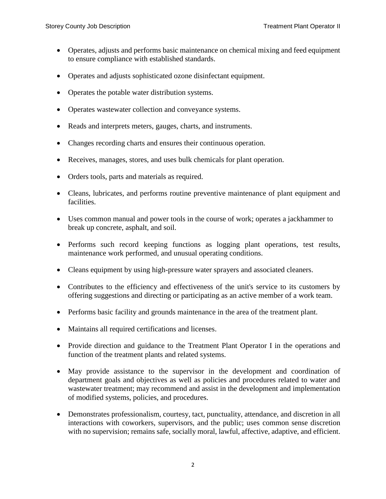- Operates, adjusts and performs basic maintenance on chemical mixing and feed equipment to ensure compliance with established standards.
- Operates and adjusts sophisticated ozone disinfectant equipment.
- Operates the potable water distribution systems.
- Operates wastewater collection and conveyance systems.
- Reads and interprets meters, gauges, charts, and instruments.
- Changes recording charts and ensures their continuous operation.
- Receives, manages, stores, and uses bulk chemicals for plant operation.
- Orders tools, parts and materials as required.
- Cleans, lubricates, and performs routine preventive maintenance of plant equipment and facilities.
- Uses common manual and power tools in the course of work; operates a jackhammer to break up concrete, asphalt, and soil.
- Performs such record keeping functions as logging plant operations, test results, maintenance work performed, and unusual operating conditions.
- Cleans equipment by using high-pressure water sprayers and associated cleaners.
- Contributes to the efficiency and effectiveness of the unit's service to its customers by offering suggestions and directing or participating as an active member of a work team.
- Performs basic facility and grounds maintenance in the area of the treatment plant.
- Maintains all required certifications and licenses.
- Provide direction and guidance to the Treatment Plant Operator I in the operations and function of the treatment plants and related systems.
- May provide assistance to the supervisor in the development and coordination of department goals and objectives as well as policies and procedures related to water and wastewater treatment; may recommend and assist in the development and implementation of modified systems, policies, and procedures.
- Demonstrates professionalism, courtesy, tact, punctuality, attendance, and discretion in all interactions with coworkers, supervisors, and the public; uses common sense discretion with no supervision; remains safe, socially moral, lawful, affective, adaptive, and efficient.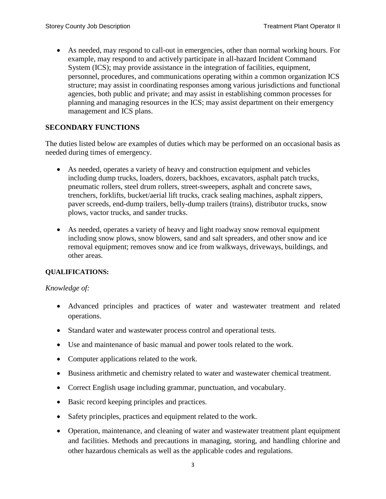As needed, may respond to call-out in emergencies, other than normal working hours. For example, may respond to and actively participate in all-hazard Incident Command System (ICS); may provide assistance in the integration of facilities, equipment, personnel, procedures, and communications operating within a common organization ICS structure; may assist in coordinating responses among various jurisdictions and functional agencies, both public and private; and may assist in establishing common processes for planning and managing resources in the ICS; may assist department on their emergency management and ICS plans.

## **SECONDARY FUNCTIONS**

The duties listed below are examples of duties which may be performed on an occasional basis as needed during times of emergency.

- As needed, operates a variety of heavy and construction equipment and vehicles including dump trucks, loaders, dozers, backhoes, excavators, asphalt patch trucks, pneumatic rollers, steel drum rollers, street-sweepers, asphalt and concrete saws, trenchers, forklifts, bucket/aerial lift trucks, crack sealing machines, asphalt zippers, paver screeds, end-dump trailers, belly-dump trailers (trains), distributor trucks, snow plows, vactor trucks, and sander trucks.
- As needed, operates a variety of heavy and light roadway snow removal equipment including snow plows, snow blowers, sand and salt spreaders, and other snow and ice removal equipment; removes snow and ice from walkways, driveways, buildings, and other areas.

## **QUALIFICATIONS:**

## *Knowledge of:*

- Advanced principles and practices of water and wastewater treatment and related operations.
- Standard water and wastewater process control and operational tests.
- Use and maintenance of basic manual and power tools related to the work.
- Computer applications related to the work.
- Business arithmetic and chemistry related to water and wastewater chemical treatment.
- Correct English usage including grammar, punctuation, and vocabulary.
- Basic record keeping principles and practices.
- Safety principles, practices and equipment related to the work.
- Operation, maintenance, and cleaning of water and wastewater treatment plant equipment and facilities. Methods and precautions in managing, storing, and handling chlorine and other hazardous chemicals as well as the applicable codes and regulations.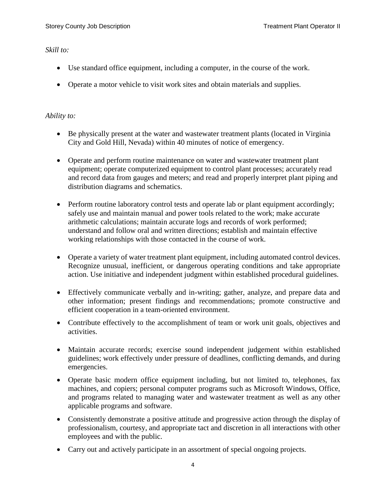#### *Skill to:*

- Use standard office equipment, including a computer, in the course of the work.
- Operate a motor vehicle to visit work sites and obtain materials and supplies.

#### *Ability to:*

- Be physically present at the water and wastewater treatment plants (located in Virginia City and Gold Hill, Nevada) within 40 minutes of notice of emergency.
- Operate and perform routine maintenance on water and wastewater treatment plant equipment; operate computerized equipment to control plant processes; accurately read and record data from gauges and meters; and read and properly interpret plant piping and distribution diagrams and schematics.
- Perform routine laboratory control tests and operate lab or plant equipment accordingly; safely use and maintain manual and power tools related to the work; make accurate arithmetic calculations; maintain accurate logs and records of work performed; understand and follow oral and written directions; establish and maintain effective working relationships with those contacted in the course of work.
- Operate a variety of water treatment plant equipment, including automated control devices. Recognize unusual, inefficient, or dangerous operating conditions and take appropriate action. Use initiative and independent judgment within established procedural guidelines.
- Effectively communicate verbally and in-writing; gather, analyze, and prepare data and other information; present findings and recommendations; promote constructive and efficient cooperation in a team-oriented environment.
- Contribute effectively to the accomplishment of team or work unit goals, objectives and activities.
- Maintain accurate records; exercise sound independent judgement within established guidelines; work effectively under pressure of deadlines, conflicting demands, and during emergencies.
- Operate basic modern office equipment including, but not limited to, telephones, fax machines, and copiers; personal computer programs such as Microsoft Windows, Office, and programs related to managing water and wastewater treatment as well as any other applicable programs and software.
- Consistently demonstrate a positive attitude and progressive action through the display of professionalism, courtesy, and appropriate tact and discretion in all interactions with other employees and with the public.
- Carry out and actively participate in an assortment of special ongoing projects.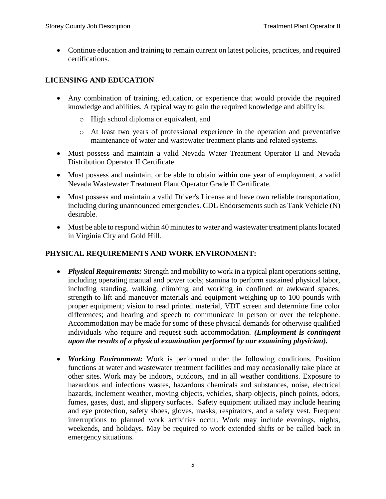Continue education and training to remain current on latest policies, practices, and required certifications.

# **LICENSING AND EDUCATION**

- Any combination of training, education, or experience that would provide the required knowledge and abilities. A typical way to gain the required knowledge and ability is:
	- o High school diploma or equivalent, and
	- o At least two years of professional experience in the operation and preventative maintenance of water and wastewater treatment plants and related systems.
- Must possess and maintain a valid Nevada Water Treatment Operator II and Nevada Distribution Operator II Certificate.
- Must possess and maintain, or be able to obtain within one year of employment, a valid Nevada Wastewater Treatment Plant Operator Grade II Certificate.
- Must possess and maintain a valid Driver's License and have own reliable transportation, including during unannounced emergencies. CDL Endorsements such as Tank Vehicle (N) desirable.
- Must be able to respond within 40 minutes to water and wastewater treatment plants located in Virginia City and Gold Hill.

## **PHYSICAL REQUIREMENTS AND WORK ENVIRONMENT:**

- *Physical Requirements:* Strength and mobility to work in a typical plant operations setting, including operating manual and power tools; stamina to perform sustained physical labor, including standing, walking, climbing and working in confined or awkward spaces; strength to lift and maneuver materials and equipment weighing up to 100 pounds with proper equipment; vision to read printed material, VDT screen and determine fine color differences; and hearing and speech to communicate in person or over the telephone. Accommodation may be made for some of these physical demands for otherwise qualified individuals who require and request such accommodation. *(Employment is contingent upon the results of a physical examination performed by our examining physician).*
- *Working Environment:* Work is performed under the following conditions. Position functions at water and wastewater treatment facilities and may occasionally take place at other sites. Work may be indoors, outdoors, and in all weather conditions. Exposure to hazardous and infectious wastes, hazardous chemicals and substances, noise, electrical hazards, inclement weather, moving objects, vehicles, sharp objects, pinch points, odors, fumes, gases, dust, and slippery surfaces. Safety equipment utilized may include hearing and eye protection, safety shoes, gloves, masks, respirators, and a safety vest. Frequent interruptions to planned work activities occur. Work may include evenings, nights, weekends, and holidays. May be required to work extended shifts or be called back in emergency situations.